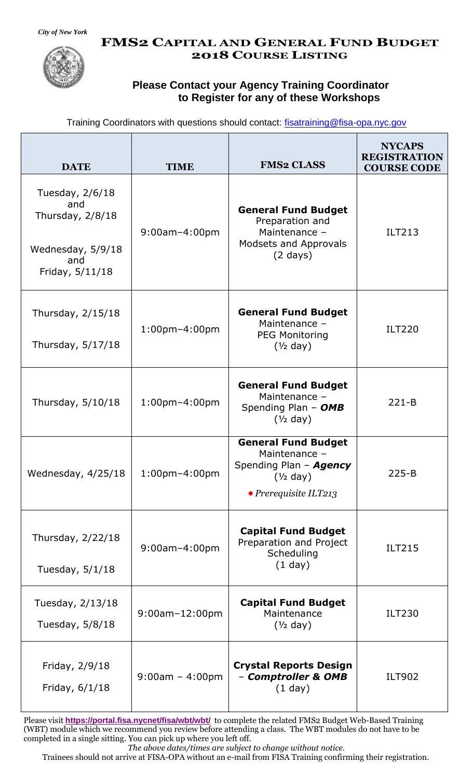

#### **FMS2 CAPITAL AND GENERAL FUND BUDGET 2018 COURSE LISTING**

#### **Please Contact your Agency Training Coordinator to Register for any of these Workshops**

| Training Coordinators with questions should contact: fisatraining@fisa-opa.nyc.gov |  |  |  |
|------------------------------------------------------------------------------------|--|--|--|
|------------------------------------------------------------------------------------|--|--|--|

| <b>DATE</b>                                                                                 | <b>TIME</b>           | <b>FMS2 CLASS</b>                                                                                             | <b>NYCAPS</b><br><b>REGISTRATION</b><br><b>COURSE CODE</b> |
|---------------------------------------------------------------------------------------------|-----------------------|---------------------------------------------------------------------------------------------------------------|------------------------------------------------------------|
| Tuesday, 2/6/18<br>and<br>Thursday, $2/8/18$<br>Wednesday, 5/9/18<br>and<br>Friday, 5/11/18 | $9:00$ am $-4:00$ pm  | <b>General Fund Budget</b><br>Preparation and<br>Maintenance -<br>Modsets and Approvals<br>$(2 \text{ days})$ | <b>ILT213</b>                                              |
| Thursday, 2/15/18<br>Thursday, 5/17/18                                                      | $1:00$ pm $-4:00$ pm  | <b>General Fund Budget</b><br>Maintenance -<br><b>PEG Monitoring</b><br>$(\frac{1}{2}$ day)                   | <b>ILT220</b>                                              |
| Thursday, 5/10/18                                                                           | $1:00$ pm $-4:00$ pm  | <b>General Fund Budget</b><br>Maintenance -<br>Spending Plan - OMB<br>$(\frac{1}{2}$ day)                     | $221 - B$                                                  |
| Wednesday, 4/25/18                                                                          | $1:00$ pm $-4:00$ pm  | <b>General Fund Budget</b><br>Maintenance -<br>Spending Plan - Agency<br>$(1/2$ day)<br>• Prerequisite ILT213 | $225 - B$                                                  |
| Thursday, 2/22/18<br>Tuesday, $5/1/18$                                                      | 9:00am-4:00pm         | <b>Capital Fund Budget</b><br>Preparation and Project<br>Scheduling<br>$(1$ day)                              | <b>ILT215</b>                                              |
| Tuesday, 2/13/18<br>Tuesday, 5/8/18                                                         | $9:00$ am $-12:00$ pm | <b>Capital Fund Budget</b><br>Maintenance<br>$(\frac{1}{2}$ day)                                              | <b>ILT230</b>                                              |
| Friday, 2/9/18<br>Friday, 6/1/18                                                            | $9:00am - 4:00pm$     | <b>Crystal Reports Design</b><br>- Comptroller & OMB<br>$(1$ day)                                             | <b>ILT902</b>                                              |

Please visit **<https://portal.fisa.nycnet/fisa/wbt/wbt/>** to complete the related FMS2 Budget Web-Based Training (WBT) module which we recommend you review before attending a class. The WBT modules do not have to be completed in a single sitting. You can pick up where you left off.

*The above dates/times are subject to change without notice.*

Trainees should not arrive at FISA-OPA without an e-mail from FISA Training confirming their registration.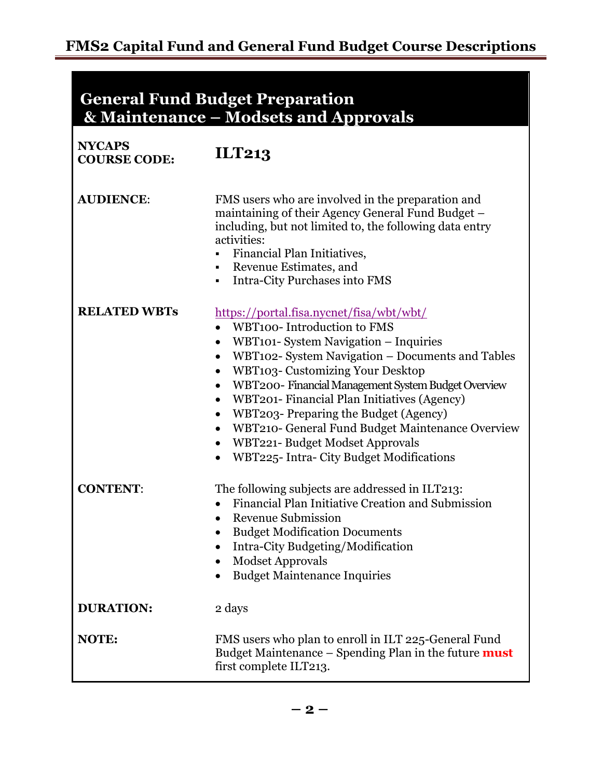### **General Fund Budget Preparation & Maintenance – Modsets and Approvals**

| <b>NYCAPS</b><br><b>COURSE CODE:</b> | <b>ILT213</b>                                                                                                                                                                                                                                                                                                                                                                                                                                                                                                                                                               |
|--------------------------------------|-----------------------------------------------------------------------------------------------------------------------------------------------------------------------------------------------------------------------------------------------------------------------------------------------------------------------------------------------------------------------------------------------------------------------------------------------------------------------------------------------------------------------------------------------------------------------------|
| <b>AUDIENCE:</b>                     | FMS users who are involved in the preparation and<br>maintaining of their Agency General Fund Budget -<br>including, but not limited to, the following data entry<br>activities:<br><b>Financial Plan Initiatives,</b><br>Revenue Estimates, and<br>Intra-City Purchases into FMS                                                                                                                                                                                                                                                                                           |
| <b>RELATED WBTs</b>                  | https://portal.fisa.nycnet/fisa/wbt/wbt/<br>WBT100- Introduction to FMS<br>WBT101- System Navigation - Inquiries<br>$\bullet$<br>WBT102- System Navigation – Documents and Tables<br>٠<br><b>WBT103- Customizing Your Desktop</b><br>$\bullet$<br>WBT200-Financial Management System Budget Overview<br>$\bullet$<br>WBT201- Financial Plan Initiatives (Agency)<br>$\bullet$<br>WBT203- Preparing the Budget (Agency)<br>$\bullet$<br>WBT210- General Fund Budget Maintenance Overview<br>WBT221- Budget Modset Approvals<br>٠<br>WBT225- Intra- City Budget Modifications |
| <b>CONTENT:</b>                      | The following subjects are addressed in ILT213:<br>Financial Plan Initiative Creation and Submission<br><b>Revenue Submission</b><br>$\bullet$<br><b>Budget Modification Documents</b><br>٠<br>Intra-City Budgeting/Modification<br><b>Modset Approvals</b><br><b>Budget Maintenance Inquiries</b>                                                                                                                                                                                                                                                                          |
| <b>DURATION:</b>                     | 2 days                                                                                                                                                                                                                                                                                                                                                                                                                                                                                                                                                                      |
| <b>NOTE:</b>                         | FMS users who plan to enroll in ILT 225-General Fund<br>Budget Maintenance - Spending Plan in the future must<br>first complete ILT213.                                                                                                                                                                                                                                                                                                                                                                                                                                     |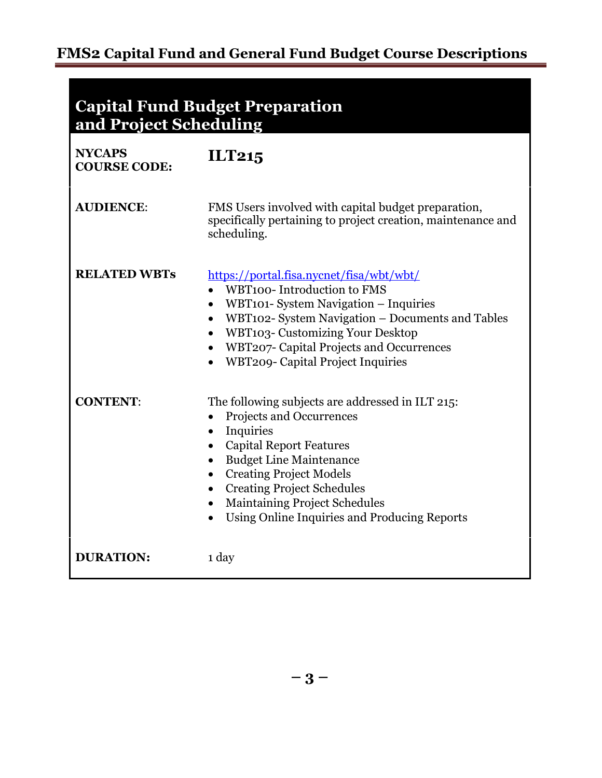## **FMS2 Capital Fund and General Fund Budget Course Descriptions**

**Capital Fund Budget Preparation and Project Scheduling**

| <b>NYCAPS</b><br><b>COURSE CODE:</b> | ILT215                                                                                                                                                                                                                                                                                                                                                              |
|--------------------------------------|---------------------------------------------------------------------------------------------------------------------------------------------------------------------------------------------------------------------------------------------------------------------------------------------------------------------------------------------------------------------|
| <b>AUDIENCE:</b>                     | FMS Users involved with capital budget preparation,<br>specifically pertaining to project creation, maintenance and<br>scheduling.                                                                                                                                                                                                                                  |
| <b>RELATED WBTs</b>                  | https://portal.fisa.nycnet/fisa/wbt/wbt/<br>WBT100-Introduction to FMS<br>WBT101- System Navigation - Inquiries<br>WBT102- System Navigation - Documents and Tables<br>$\bullet$<br><b>WBT103- Customizing Your Desktop</b><br>WBT207- Capital Projects and Occurrences<br><b>WBT209- Capital Project Inquiries</b>                                                 |
| <b>CONTENT:</b>                      | The following subjects are addressed in ILT 215:<br>Projects and Occurrences<br>Inquiries<br>$\bullet$<br><b>Capital Report Features</b><br><b>Budget Line Maintenance</b><br><b>Creating Project Models</b><br>$\bullet$<br><b>Creating Project Schedules</b><br><b>Maintaining Project Schedules</b><br>$\bullet$<br>Using Online Inquiries and Producing Reports |
| <b>DURATION:</b>                     | 1 day                                                                                                                                                                                                                                                                                                                                                               |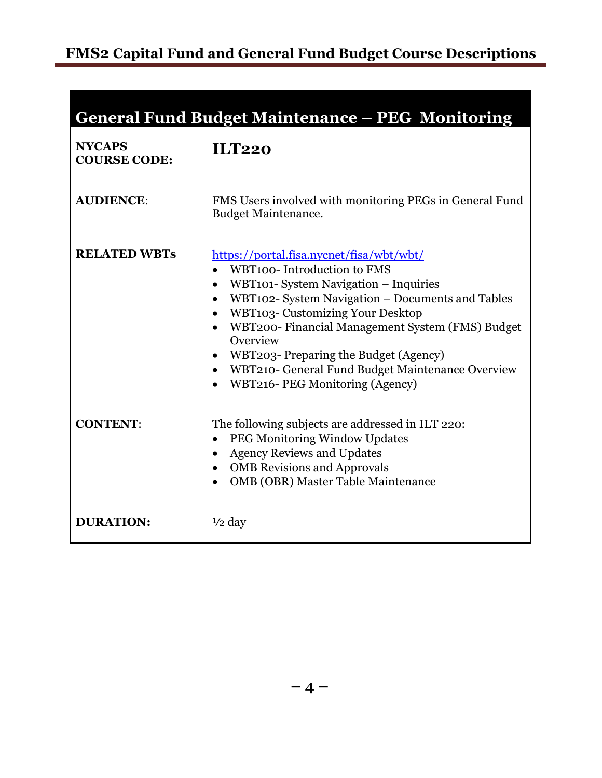|  |  | <b>General Fund Budget Maintenance - PEG Monitoring</b> |
|--|--|---------------------------------------------------------|
|  |  |                                                         |
|  |  |                                                         |

| <b>NYCAPS</b><br><b>COURSE CODE:</b> | <b>ILT220</b>                                                                                                                                                                                                                                                                                                                                                                                                                                                                       |
|--------------------------------------|-------------------------------------------------------------------------------------------------------------------------------------------------------------------------------------------------------------------------------------------------------------------------------------------------------------------------------------------------------------------------------------------------------------------------------------------------------------------------------------|
| <b>AUDIENCE:</b>                     | FMS Users involved with monitoring PEGs in General Fund<br><b>Budget Maintenance.</b>                                                                                                                                                                                                                                                                                                                                                                                               |
| <b>RELATED WBTs</b>                  | https://portal.fisa.nycnet/fisa/wbt/wbt/<br>WBT100-Introduction to FMS<br>WBT101- System Navigation – Inquiries<br>$\bullet$<br>WBT102- System Navigation - Documents and Tables<br>$\bullet$<br><b>WBT103- Customizing Your Desktop</b><br>$\bullet$<br>WBT200- Financial Management System (FMS) Budget<br>$\bullet$<br>Overview<br>• WBT203- Preparing the Budget (Agency)<br>• WBT210- General Fund Budget Maintenance Overview<br>WBT216- PEG Monitoring (Agency)<br>$\bullet$ |
| <b>CONTENT:</b>                      | The following subjects are addressed in ILT 220:<br><b>PEG Monitoring Window Updates</b><br>$\bullet$<br><b>Agency Reviews and Updates</b><br><b>OMB</b> Revisions and Approvals<br><b>OMB (OBR) Master Table Maintenance</b><br>$\bullet$                                                                                                                                                                                                                                          |
| <b>DURATION:</b>                     | $\frac{1}{2}$ day                                                                                                                                                                                                                                                                                                                                                                                                                                                                   |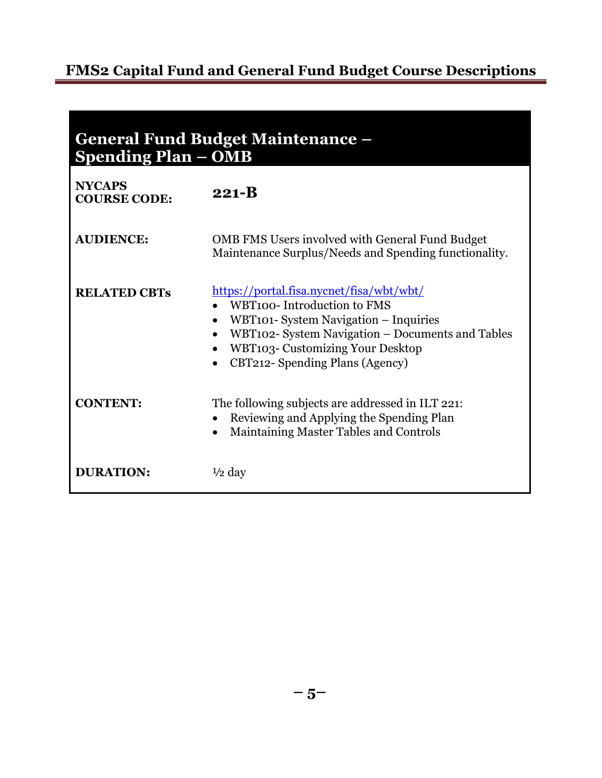## **FMS2 Capital Fund and General Fund Budget Course Descriptions**

| <b>General Fund Budget Maintenance -</b><br><b>Spending Plan – OMB</b> |                                                                                                                                                                                                                                            |  |
|------------------------------------------------------------------------|--------------------------------------------------------------------------------------------------------------------------------------------------------------------------------------------------------------------------------------------|--|
| <b>NYCAPS</b><br><b>COURSE CODE:</b>                                   | $221 - B$                                                                                                                                                                                                                                  |  |
| <b>AUDIENCE:</b>                                                       | <b>OMB FMS Users involved with General Fund Budget</b><br>Maintenance Surplus/Needs and Spending functionality.                                                                                                                            |  |
| <b>RELATED CBTs</b>                                                    | https://portal.fisa.nycnet/fisa/wbt/wbt/<br>WBT100-Introduction to FMS<br>WBT101- System Navigation – Inquiries<br>WBT102- System Navigation - Documents and Tables<br>WBT103- Customizing Your Desktop<br>CBT212- Spending Plans (Agency) |  |
| <b>CONTENT:</b>                                                        | The following subjects are addressed in ILT 221:<br>Reviewing and Applying the Spending Plan<br>Maintaining Master Tables and Controls                                                                                                     |  |
| <b>DURATION:</b>                                                       | $\frac{1}{2}$ day                                                                                                                                                                                                                          |  |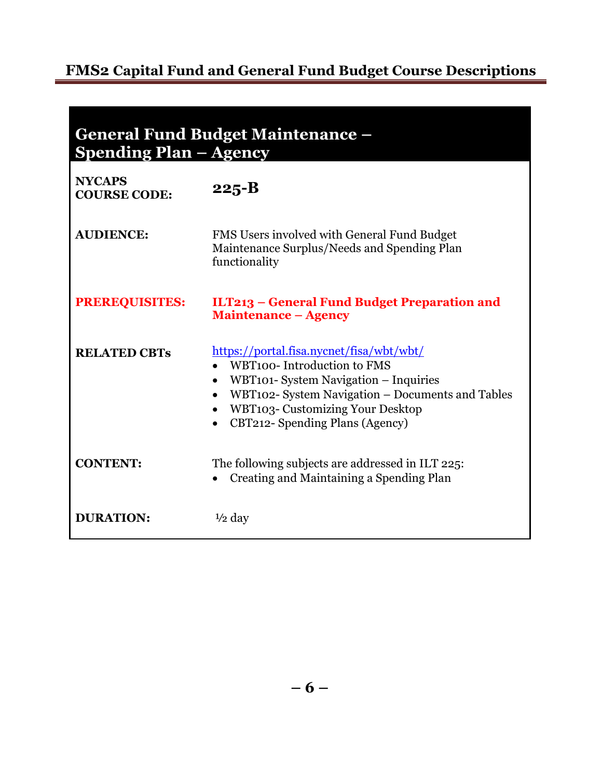# **FMS2 Capital Fund and General Fund Budget Course Descriptions**

| <b>General Fund Budget Maintenance -</b><br><b>Spending Plan – Agency</b> |                                                                                                                                                                                                                                                                                          |  |
|---------------------------------------------------------------------------|------------------------------------------------------------------------------------------------------------------------------------------------------------------------------------------------------------------------------------------------------------------------------------------|--|
| <b>NYCAPS</b><br><b>COURSE CODE:</b>                                      | $225 - B$                                                                                                                                                                                                                                                                                |  |
| <b>AUDIENCE:</b>                                                          | FMS Users involved with General Fund Budget<br>Maintenance Surplus/Needs and Spending Plan<br>functionality                                                                                                                                                                              |  |
| <b>PREREQUISITES:</b>                                                     | ILT213 – General Fund Budget Preparation and<br><b>Maintenance - Agency</b>                                                                                                                                                                                                              |  |
| <b>RELATED CBTs</b>                                                       | https://portal.fisa.nycnet/fisa/wbt/wbt/<br>WBT100-Introduction to FMS<br>WBT101- System Navigation – Inquiries<br>$\bullet$<br>WBT102- System Navigation – Documents and Tables<br>$\bullet$<br><b>WBT103- Customizing Your Desktop</b><br>CBT212- Spending Plans (Agency)<br>$\bullet$ |  |
| <b>CONTENT:</b>                                                           | The following subjects are addressed in ILT 225:<br>Creating and Maintaining a Spending Plan                                                                                                                                                                                             |  |
| <b>DURATION:</b>                                                          | $\frac{1}{2}$ day                                                                                                                                                                                                                                                                        |  |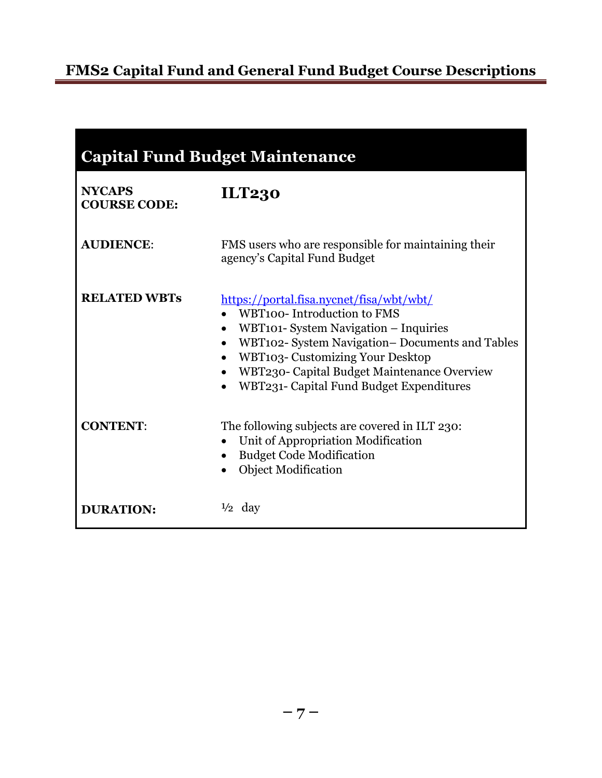| <b>Capital Fund Budget Maintenance</b> |                                                                                                                                                                                                                                                                                                                                                 |  |
|----------------------------------------|-------------------------------------------------------------------------------------------------------------------------------------------------------------------------------------------------------------------------------------------------------------------------------------------------------------------------------------------------|--|
| <b>NYCAPS</b><br><b>COURSE CODE:</b>   | <b>ILT230</b>                                                                                                                                                                                                                                                                                                                                   |  |
| <b>AUDIENCE:</b>                       | FMS users who are responsible for maintaining their<br>agency's Capital Fund Budget                                                                                                                                                                                                                                                             |  |
| <b>RELATED WBTs</b>                    | https://portal.fisa.nycnet/fisa/wbt/wbt/<br>WBT100-Introduction to FMS<br>WBT101- System Navigation – Inquiries<br>WBT102- System Navigation- Documents and Tables<br>$\bullet$<br><b>WBT103- Customizing Your Desktop</b><br>$\bullet$<br>WBT230- Capital Budget Maintenance Overview<br>WBT231- Capital Fund Budget Expenditures<br>$\bullet$ |  |
| <b>CONTENT:</b>                        | The following subjects are covered in ILT 230:<br>Unit of Appropriation Modification<br>$\bullet$<br><b>Budget Code Modification</b><br>$\bullet$<br><b>Object Modification</b>                                                                                                                                                                 |  |
| <b>DURATION:</b>                       | $\frac{1}{2}$ day                                                                                                                                                                                                                                                                                                                               |  |